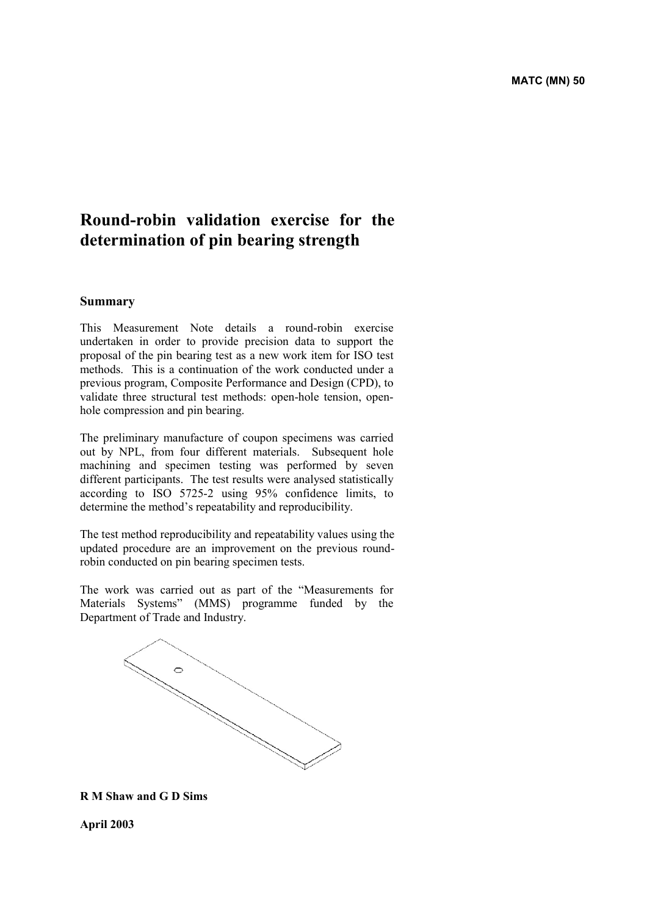# **Round-robin validation exercise for the determination of pin bearing strength**

## **Summary**

This Measurement Note details a round-robin exercise undertaken in order to provide precision data to support the proposal of the pin bearing test as a new work item for ISO test methods. This is a continuation of the work conducted under a previous program, Composite Performance and Design (CPD), to validate three structural test methods: open-hole tension, openhole compression and pin bearing.

The preliminary manufacture of coupon specimens was carried out by NPL, from four different materials. Subsequent hole machining and specimen testing was performed by seven different participants. The test results were analysed statistically according to ISO 5725-2 using 95% confidence limits, to determine the method's repeatability and reproducibility.

The test method reproducibility and repeatability values using the updated procedure are an improvement on the previous roundrobin conducted on pin bearing specimen tests.

The work was carried out as part of the "Measurements for Materials Systems" (MMS) programme funded by the Department of Trade and Industry.



## **R M Shaw and G D Sims**

**April 2003**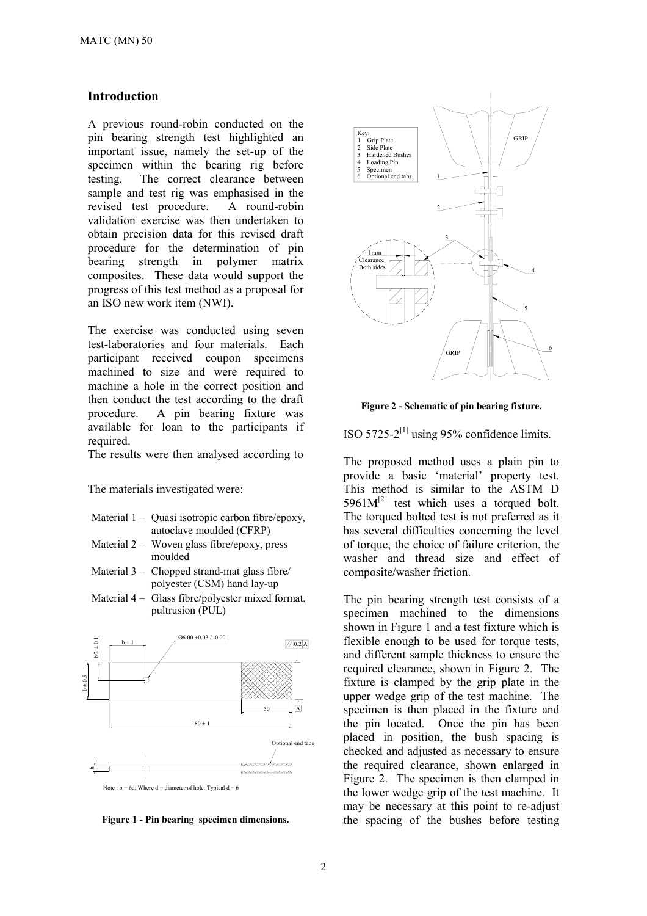# **Introduction**

A previous round-robin conducted on the pin bearing strength test highlighted an important issue, namely the set-up of the specimen within the bearing rig before testing. The correct clearance between sample and test rig was emphasised in the revised test procedure. A round-robin validation exercise was then undertaken to obtain precision data for this revised draft procedure for the determination of pin bearing strength in polymer matrix composites. These data would support the progress of this test method as a proposal for an ISO new work item (NWI).

The exercise was conducted using seven test-laboratories and four materials. Each participant received coupon specimens machined to size and were required to machine a hole in the correct position and then conduct the test according to the draft procedure. A pin bearing fixture was available for loan to the participants if required.

The results were then analysed according to

The materials investigated were:

- Material  $1 -$  Quasi isotropic carbon fibre/epoxy, autoclave moulded (CFRP)
- Material  $2 -$  Woven glass fibre/epoxy, press moulded
- Material 3 Chopped strand-mat glass fibre/ polyester (CSM) hand lay-up
- Material 4 Glass fibre/polyester mixed format, pultrusion (PUL)







**Figure 2 - Schematic of pin bearing fixture.**

ISO 5725-2<sup>[1]</sup> using 95% confidence limits.

The proposed method uses a plain pin to provide a basic 'material' property test. This method is similar to the ASTM D  $5961M^{[2]}$  test which uses a torqued bolt. The torqued bolted test is not preferred as it has several difficulties concerning the level of torque, the choice of failure criterion, the washer and thread size and effect of composite/washer friction.

The pin bearing strength test consists of a specimen machined to the dimensions shown in Figure 1 and a test fixture which is flexible enough to be used for torque tests. and different sample thickness to ensure the required clearance, shown in Figure 2. The fixture is clamped by the grip plate in the upper wedge grip of the test machine. The specimen is then placed in the fixture and the pin located. Once the pin has been placed in position, the bush spacing is checked and adjusted as necessary to ensure the required clearance, shown enlarged in Figure 2. The specimen is then clamped in the lower wedge grip of the test machine. It may be necessary at this point to re-adjust the spacing of the bushes before testing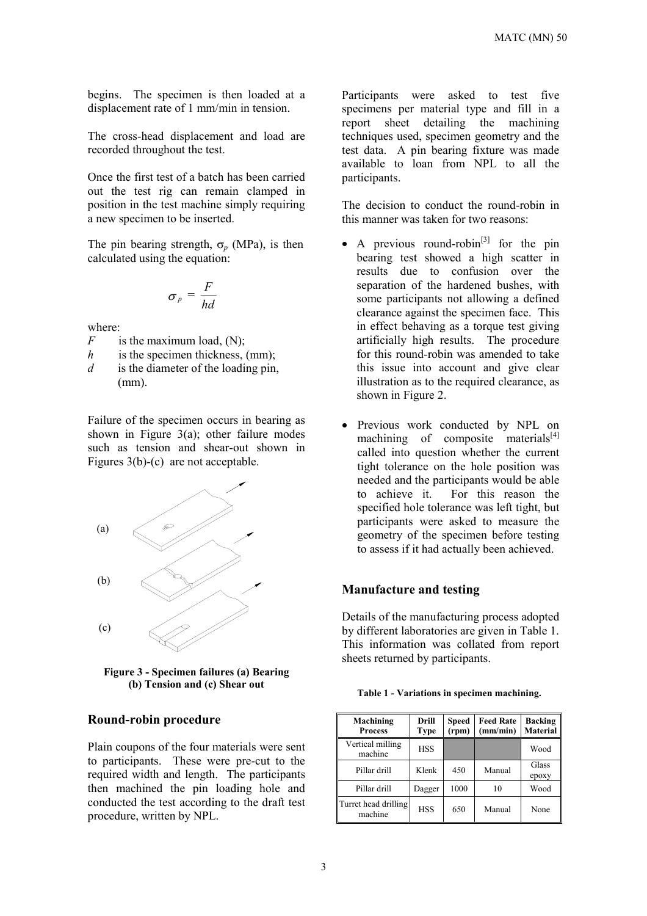begins. The specimen is then loaded at a displacement rate of 1 mm/min in tension.

The cross-head displacement and load are recorded throughout the test.

Once the first test of a batch has been carried out the test rig can remain clamped in position in the test machine simply requiring a new specimen to be inserted.

The pin bearing strength,  $\sigma_p$  (MPa), is then calculated using the equation:

$$
\sigma_p = \frac{F}{hd}
$$

where:

*F* is the maximum load, (N);

*h* is the specimen thickness, (mm);

*d* is the diameter of the loading pin, (mm).

Failure of the specimen occurs in bearing as shown in Figure  $3(a)$ ; other failure modes such as tension and shear-out shown in Figures 3(b)-(c) are not acceptable.



**Figure 3 - Specimen failures (a) Bearing (b) Tension and (c) Shear out** 

## **Round-robin procedure**

Plain coupons of the four materials were sent to participants. These were pre-cut to the required width and length. The participants then machined the pin loading hole and conducted the test according to the draft test procedure, written by NPL.

Participants were asked to test five specimens per material type and fill in a report sheet detailing the machining techniques used, specimen geometry and the test data. A pin bearing fixture was made available to loan from NPL to all the participants.

The decision to conduct the round-robin in this manner was taken for two reasons:

- A previous round-robin<sup>[3]</sup> for the pin bearing test showed a high scatter in results due to confusion over the separation of the hardened bushes, with some participants not allowing a defined clearance against the specimen face. This in effect behaving as a torque test giving artificially high results. The procedure for this round-robin was amended to take this issue into account and give clear illustration as to the required clearance, as shown in Figure 2.
- Previous work conducted by NPL on machining of composite materials $[4]$ called into question whether the current tight tolerance on the hole position was needed and the participants would be able to achieve it. For this reason the specified hole tolerance was left tight, but participants were asked to measure the geometry of the specimen before testing to assess if it had actually been achieved.

# **Manufacture and testing**

Details of the manufacturing process adopted by different laboratories are given in Table 1. This information was collated from report sheets returned by participants.

**Table 1 - Variations in specimen machining.** 

| Machining<br><b>Process</b>     | Drill<br><b>Type</b> | <b>Speed</b><br>(rpm) | <b>Feed Rate</b><br>(mm/min) | <b>Backing</b><br><b>Material</b> |
|---------------------------------|----------------------|-----------------------|------------------------------|-----------------------------------|
| Vertical milling<br>machine     | <b>HSS</b>           |                       |                              | Wood                              |
| Pillar drill                    | Klenk                | 450                   | Manual                       | Glass<br>epoxy                    |
| Pillar drill                    | Dagger               | 1000                  | 10                           | Wood                              |
| Turret head drilling<br>machine | <b>HSS</b>           | 650                   | Manual                       | None                              |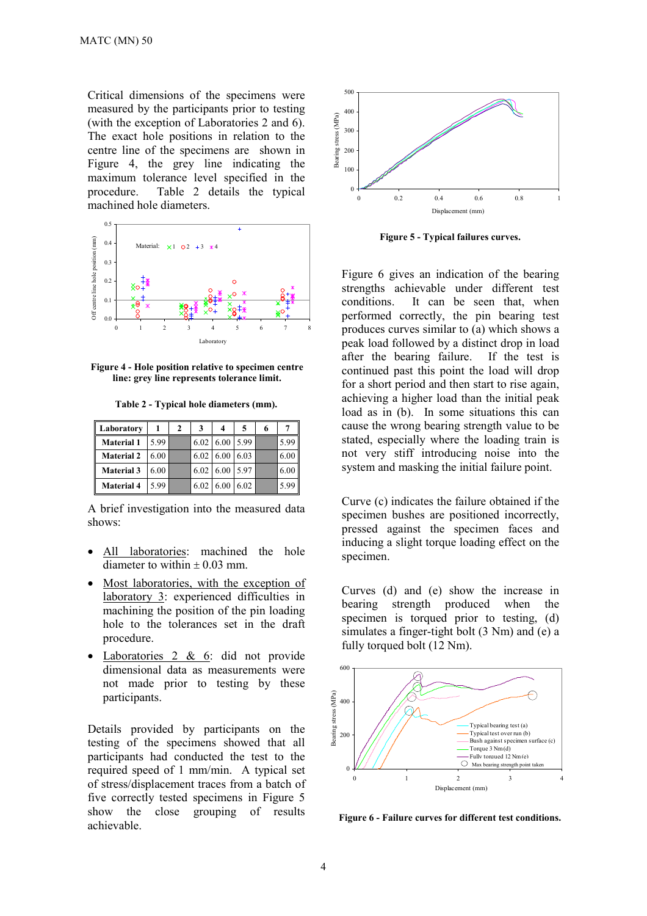Critical dimensions of the specimens were measured by the participants prior to testing (with the exception of Laboratories 2 and 6). The exact hole positions in relation to the centre line of the specimens are shown in Figure 4, the grey line indicating the maximum tolerance level specified in the procedure. Table 2 details the typical machined hole diameters.



**Figure 4 - Hole position relative to specimen centre line: grey line represents tolerance limit.**

**Table 2 - Typical hole diameters (mm).**

| Laboratory        |      | $\mathfrak{D}$ | 3                   | 4                | 5    |      |
|-------------------|------|----------------|---------------------|------------------|------|------|
| <b>Material 1</b> | 5.99 |                | $6.02 \,   \, 6.00$ |                  | 5.99 | 5.99 |
| <b>Material 2</b> | 6.00 |                | $6.02 \,   \, 6.00$ |                  | 6.03 | 6.00 |
| <b>Material 3</b> | 6.00 |                |                     | $6.02$ 6.00 5.97 |      | 6.00 |
| <b>Material 4</b> | 5.99 |                | 6.02                | 6.00             | 6.02 | 5.99 |

A brief investigation into the measured data shows:

- All laboratories: machined the hole diameter to within  $\pm$  0.03 mm.
- Most laboratories, with the exception of laboratory 3: experienced difficulties in machining the position of the pin loading hole to the tolerances set in the draft procedure.
- Laboratories 2 & 6: did not provide dimensional data as measurements were not made prior to testing by these participants.

Details provided by participants on the testing of the specimens showed that all participants had conducted the test to the required speed of 1 mm/min. A typical set of stress/displacement traces from a batch of five correctly tested specimens in Figure 5 show the close grouping of results achievable.



**Figure 5 - Typical failures curves.**

Figure 6 gives an indication of the bearing strengths achievable under different test conditions. It can be seen that, when performed correctly, the pin bearing test produces curves similar to (a) which shows a peak load followed by a distinct drop in load after the bearing failure. If the test is continued past this point the load will drop for a short period and then start to rise again, achieving a higher load than the initial peak load as in (b). In some situations this can cause the wrong bearing strength value to be stated, especially where the loading train is not very stiff introducing noise into the system and masking the initial failure point.

Curve (c) indicates the failure obtained if the specimen bushes are positioned incorrectly, pressed against the specimen faces and inducing a slight torque loading effect on the specimen.

Curves (d) and (e) show the increase in bearing strength produced when the specimen is torqued prior to testing, (d) simulates a finger-tight bolt (3 Nm) and (e) a fully torqued bolt (12 Nm).



**Figure 6 - Failure curves for different test conditions.**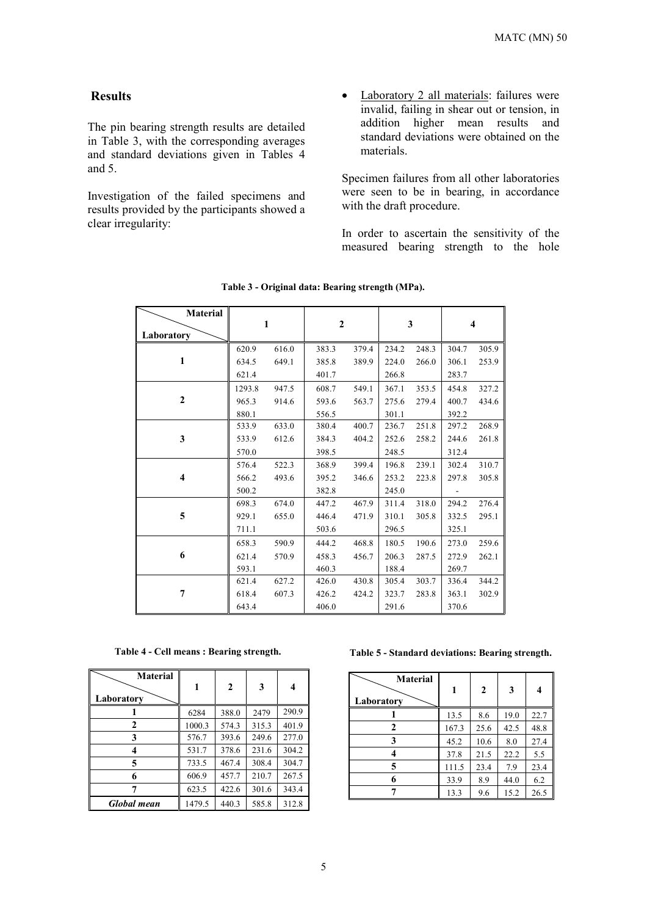# **Results**

The pin bearing strength results are detailed in Table 3, with the corresponding averages and standard deviations given in Tables 4 and 5.

Investigation of the failed specimens and results provided by the participants showed a clear irregularity:

• Laboratory 2 all materials: failures were invalid, failing in shear out or tension, in addition higher mean results and standard deviations were obtained on the materials.

Specimen failures from all other laboratories were seen to be in bearing, in accordance with the draft procedure.

In order to ascertain the sensitivity of the measured bearing strength to the hole

| <b>Material</b>     |        |       |                  |       |       |       | $\overline{\bf{4}}$ |       |
|---------------------|--------|-------|------------------|-------|-------|-------|---------------------|-------|
| Laboratory          | 1      |       | $\boldsymbol{2}$ |       | 3     |       |                     |       |
|                     | 620.9  | 616.0 | 383.3            | 379.4 | 234.2 | 248.3 | 304.7               | 305.9 |
| 1                   | 634.5  | 649.1 | 385.8            | 389.9 | 224.0 | 266.0 | 306.1               | 253.9 |
|                     | 621.4  |       | 401.7            |       | 266.8 |       | 283.7               |       |
|                     | 1293.8 | 947.5 | 608.7            | 549.1 | 367.1 | 353.5 | 454.8               | 327.2 |
| $\mathbf{2}$        | 965.3  | 914.6 | 593.6            | 563.7 | 275.6 | 279.4 | 400.7               | 434.6 |
|                     | 880.1  |       | 556.5            |       | 301.1 |       | 392.2               |       |
|                     | 533.9  | 633.0 | 380.4            | 400.7 | 236.7 | 251.8 | 297.2               | 268.9 |
| 3                   | 533.9  | 612.6 | 384.3            | 404.2 | 252.6 | 258.2 | 244.6               | 261.8 |
|                     | 570.0  |       | 398.5            |       | 248.5 |       | 312.4               |       |
|                     | 576.4  | 522.3 | 368.9            | 399.4 | 196.8 | 239.1 | 302.4               | 310.7 |
| $\overline{\bf{4}}$ | 566.2  | 493.6 | 395.2            | 346.6 | 253.2 | 223.8 | 297.8               | 305.8 |
|                     | 500.2  |       | 382.8            |       | 245.0 |       |                     |       |
|                     | 698.3  | 674.0 | 447.2            | 467.9 | 311.4 | 318.0 | 294.2               | 276.4 |
| 5                   | 929.1  | 655.0 | 446.4            | 471.9 | 310.1 | 305.8 | 332.5               | 295.1 |
|                     | 711.1  |       | 503.6            |       | 296.5 |       | 325.1               |       |
|                     | 658.3  | 590.9 | 444.2            | 468.8 | 180.5 | 190.6 | 273.0               | 259.6 |
| 6                   | 621.4  | 570.9 | 458.3            | 456.7 | 206.3 | 287.5 | 272.9               | 262.1 |
|                     | 593.1  |       | 460.3            |       | 188.4 |       | 269.7               |       |
|                     | 621.4  | 627.2 | 426.0            | 430.8 | 305.4 | 303.7 | 336.4               | 344.2 |
| 7                   | 618.4  | 607.3 | 426.2            | 424.2 | 323.7 | 283.8 | 363.1               | 302.9 |
|                     | 643.4  |       | 406.0            |       | 291.6 |       | 370.6               |       |

|  | Table 3 - Original data: Bearing strength (MPa). |  |  |
|--|--------------------------------------------------|--|--|
|  |                                                  |  |  |

**Table 4 - Cell means : Bearing strength.** 

| <b>Material</b><br>Laboratory |        | 2     | 3     | 4     |
|-------------------------------|--------|-------|-------|-------|
|                               | 6284   | 388.0 | 2479  | 290.9 |
| $\mathbf{2}$                  | 1000.3 | 574.3 | 315.3 | 401.9 |
| 3                             | 576.7  | 393.6 | 249.6 | 277.0 |
| 4                             | 531.7  | 378.6 | 231.6 | 304.2 |
| 5                             | 733.5  | 467.4 | 308.4 | 304.7 |
| 6                             | 606.9  | 457.7 | 210.7 | 267.5 |
|                               | 623.5  | 422.6 | 301.6 | 343.4 |
| <b>Global mean</b>            | 1479.5 | 440.3 | 585.8 | 312.8 |

**Table 5 - Standard deviations: Bearing strength.** 

| <b>Material</b><br>Laboratory |       | 2    | 3    | 4    |
|-------------------------------|-------|------|------|------|
|                               | 13.5  | 8.6  | 19.0 | 22.7 |
| $\mathbf{2}$                  | 167.3 | 25.6 | 42.5 | 48.8 |
| 3                             | 45.2  | 10.6 | 8.0  | 27.4 |
|                               | 37.8  | 21.5 | 22.2 | 5.5  |
| 5                             | 111.5 | 23.4 | 7.9  | 23.4 |
| 6                             | 33.9  | 8.9  | 44.0 | 6.2  |
|                               | 13.3  | 9.6  | 15.2 | 26.5 |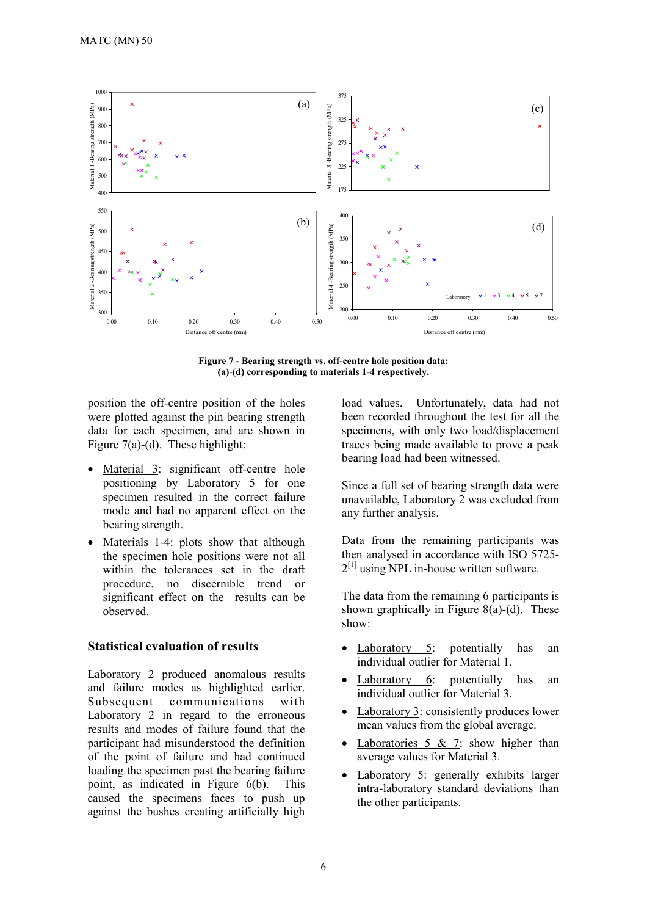

**Figure 7 - Bearing strength vs. off-centre hole position data: (a)-(d) corresponding to materials 1-4 respectively.** 

position the off-centre position of the holes were plotted against the pin bearing strength data for each specimen, and are shown in Figure  $7(a)-(d)$ . These highlight:

- Material 3: significant off-centre hole positioning by Laboratory 5 for one specimen resulted in the correct failure mode and had no apparent effect on the bearing strength.
- Materials 1-4: plots show that although the specimen hole positions were not all within the tolerances set in the draft procedure, no discernible trend or significant effect on the results can be observed.

# **Statistical evaluation of results**

Laboratory 2 produced anomalous results and failure modes as highlighted earlier. Subsequent communications with Laboratory 2 in regard to the erroneous results and modes of failure found that the participant had misunderstood the definition of the point of failure and had continued loading the specimen past the bearing failure point, as indicated in Figure 6(b). This caused the specimens faces to push up against the bushes creating artificially high

load values. Unfortunately, data had not been recorded throughout the test for all the specimens, with only two load/displacement traces being made available to prove a peak bearing load had been witnessed.

Since a full set of bearing strength data were unavailable, Laboratory 2 was excluded from any further analysis.

Data from the remaining participants was then analysed in accordance with ISO 5725-  $2^{[1]}$  using NPL in-house written software.

The data from the remaining 6 participants is shown graphically in Figure 8(a)-(d). These show:

- Laboratory 5: potentially has an individual outlier for Material 1.
- Laboratory 6: potentially has an individual outlier for Material 3.
- Laboratory 3: consistently produces lower mean values from the global average.
- Laboratories 5 & 7: show higher than average values for Material 3.
- Laboratory 5: generally exhibits larger intra-laboratory standard deviations than the other participants.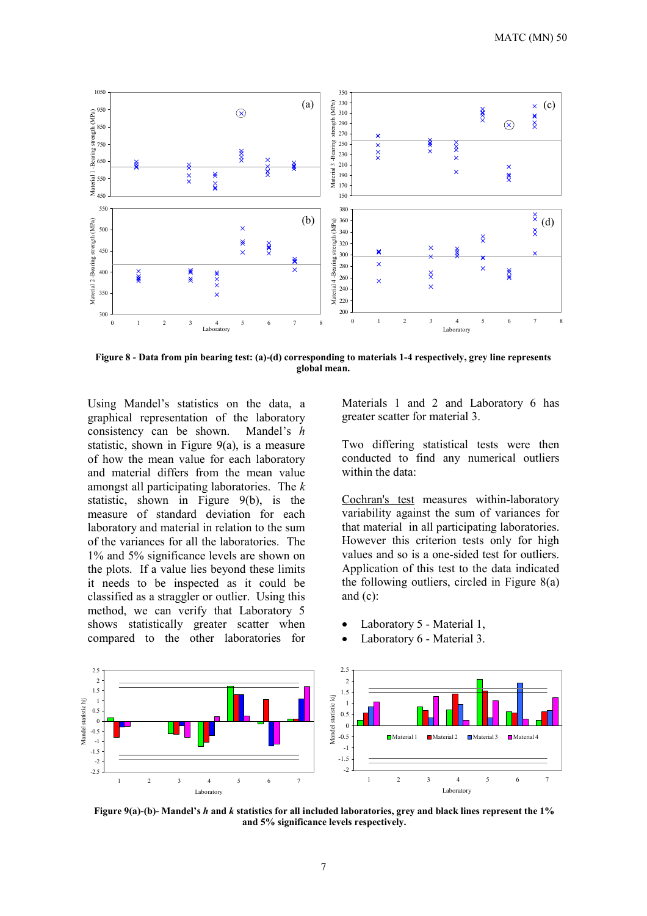

**Figure 8 - Data from pin bearing test: (a)-(d) corresponding to materials 1-4 respectively, grey line represents global mean.** 

Using Mandel's statistics on the data, a graphical representation of the laboratory consistency can be shown. Mandel's *h* statistic, shown in Figure  $9(a)$ , is a measure of how the mean value for each laboratory and material differs from the mean value amongst all participating laboratories. The *k* statistic, shown in Figure 9(b), is the measure of standard deviation for each laboratory and material in relation to the sum of the variances for all the laboratories. The 1% and 5% significance levels are shown on the plots. If a value lies beyond these limits it needs to be inspected as it could be classified as a straggler or outlier. Using this method, we can verify that Laboratory 5 shows statistically greater scatter when compared to the other laboratories for

Materials 1 and 2 and Laboratory 6 has greater scatter for material 3.

Two differing statistical tests were then conducted to find any numerical outliers within the data:

Cochran's test measures within-laboratory variability against the sum of variances for that material in all participating laboratories. However this criterion tests only for high values and so is a one-sided test for outliers. Application of this test to the data indicated the following outliers, circled in Figure 8(a) and (c):

- Laboratory 5 Material 1,
- Laboratory 6 Material 3.



**Figure 9(a)-(b)- Mandel's** *h* **and** *k* **statistics for all included laboratories, grey and black lines represent the 1% and 5% significance levels respectively.**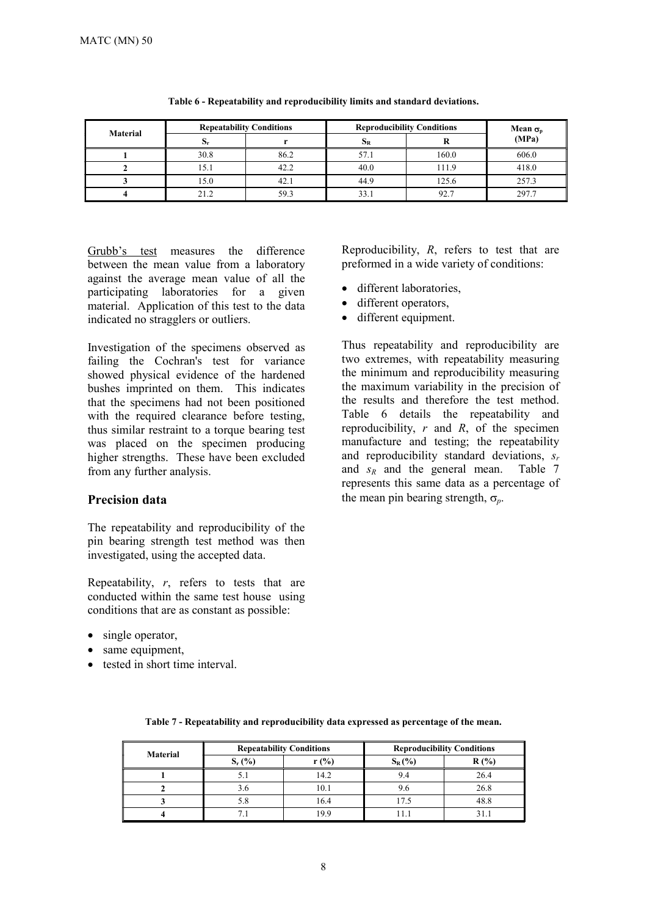| <b>Material</b> |      | <b>Repeatability Conditions</b> |      | <b>Reproducibility Conditions</b> |       |  |  |
|-----------------|------|---------------------------------|------|-----------------------------------|-------|--|--|
|                 | ⊾⊃r  |                                 | ЮR   |                                   | (MPa) |  |  |
|                 | 30.8 | 86.2                            |      | 160.0                             | 606.0 |  |  |
|                 | 15.1 | 42.2                            | 40.0 | 111.9                             | 418.0 |  |  |
|                 | 15.0 | 42.                             | 44.9 | 125.6                             | 257.3 |  |  |
|                 | 21.2 |                                 |      | 92.7                              | 297.7 |  |  |

| Table 6 - Repeatability and reproducibility limits and standard deviations. |  |  |  |  |  |
|-----------------------------------------------------------------------------|--|--|--|--|--|
|-----------------------------------------------------------------------------|--|--|--|--|--|

Grubb's test measures the difference between the mean value from a laboratory against the average mean value of all the participating laboratories for a given material. Application of this test to the data indicated no stragglers or outliers.

Investigation of the specimens observed as failing the Cochran's test for variance showed physical evidence of the hardened bushes imprinted on them. This indicates that the specimens had not been positioned with the required clearance before testing, thus similar restraint to a torque bearing test was placed on the specimen producing higher strengths. These have been excluded from any further analysis.

# **Precision data**

The repeatability and reproducibility of the pin bearing strength test method was then investigated, using the accepted data.

Repeatability, *r*, refers to tests that are conducted within the same test house using conditions that are as constant as possible:

- single operator,
- same equipment,
- tested in short time interval.

Reproducibility, *R*, refers to test that are preformed in a wide variety of conditions:

- different laboratories,
- different operators.
- different equipment.

Thus repeatability and reproducibility are two extremes, with repeatability measuring the minimum and reproducibility measuring the maximum variability in the precision of the results and therefore the test method. Table 6 details the repeatability and reproducibility, *r* and *R*, of the specimen manufacture and testing; the repeatability and reproducibility standard deviations,  $s_r$  and  $s_R$  and the general mean. Table 7 and  $s_R$  and the general mean. represents this same data as a percentage of the mean pin bearing strength, σ*p*.

| <b>Material</b> |           | <b>Repeatability Conditions</b> | <b>Reproducibility Conditions</b> |       |  |
|-----------------|-----------|---------------------------------|-----------------------------------|-------|--|
|                 | $S_r$ (%) | (9/0)                           | $S_R$ (%)                         | (9/0) |  |
|                 |           | 14.2                            | 9.4                               | 26.4  |  |
|                 | 3.0       | 10.                             | 9.6                               | 26.8  |  |
|                 |           | 16.4                            | 17.5                              | 48.8  |  |
|                 |           | 1 Q Q                           |                                   |       |  |

**Table 7 - Repeatability and reproducibility data expressed as percentage of the mean.**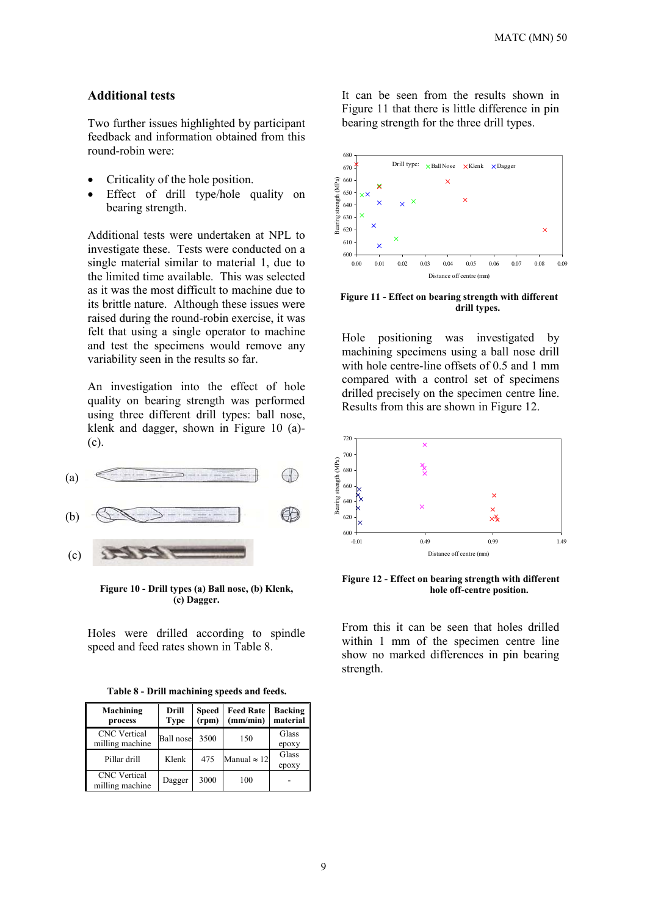## **Additional tests**

Two further issues highlighted by participant feedback and information obtained from this round-robin were:

- Criticality of the hole position.
- Effect of drill type/hole quality on bearing strength.

Additional tests were undertaken at NPL to investigate these. Tests were conducted on a single material similar to material 1, due to the limited time available. This was selected as it was the most difficult to machine due to its brittle nature. Although these issues were raised during the round-robin exercise, it was felt that using a single operator to machine and test the specimens would remove any variability seen in the results so far.

An investigation into the effect of hole quality on bearing strength was performed using three different drill types: ball nose, klenk and dagger, shown in Figure 10 (a)- (c).



**Figure 10 - Drill types (a) Ball nose, (b) Klenk, (c) Dagger.**

Holes were drilled according to spindle speed and feed rates shown in Table 8.

|  | Table 8 - Drill machining speeds and feeds. |  |  |  |
|--|---------------------------------------------|--|--|--|
|--|---------------------------------------------|--|--|--|

| Machining<br>process                   | Drill<br><b>Type</b> | <b>Speed</b><br>(rpm) | <b>Feed Rate</b><br>(mm/min) | <b>Backing</b><br>material |
|----------------------------------------|----------------------|-----------------------|------------------------------|----------------------------|
| <b>CNC</b> Vertical<br>milling machine | <b>Ball nose</b>     | 3500                  | 150                          | Glass<br>epoxy             |
| Pillar drill                           | Klenk                | 475                   | Manual $\approx 12$          | Glass<br>ероху             |
| <b>CNC</b> Vertical<br>milling machine | Dagger               | 3000                  | 100                          |                            |

It can be seen from the results shown in Figure 11 that there is little difference in pin bearing strength for the three drill types.



**Figure 11 - Effect on bearing strength with different drill types.**

Hole positioning was investigated by machining specimens using a ball nose drill with hole centre-line offsets of 0.5 and 1 mm compared with a control set of specimens drilled precisely on the specimen centre line. Results from this are shown in Figure 12.



**Figure 12 - Effect on bearing strength with different hole off-centre position.**

From this it can be seen that holes drilled within 1 mm of the specimen centre line show no marked differences in pin bearing strength.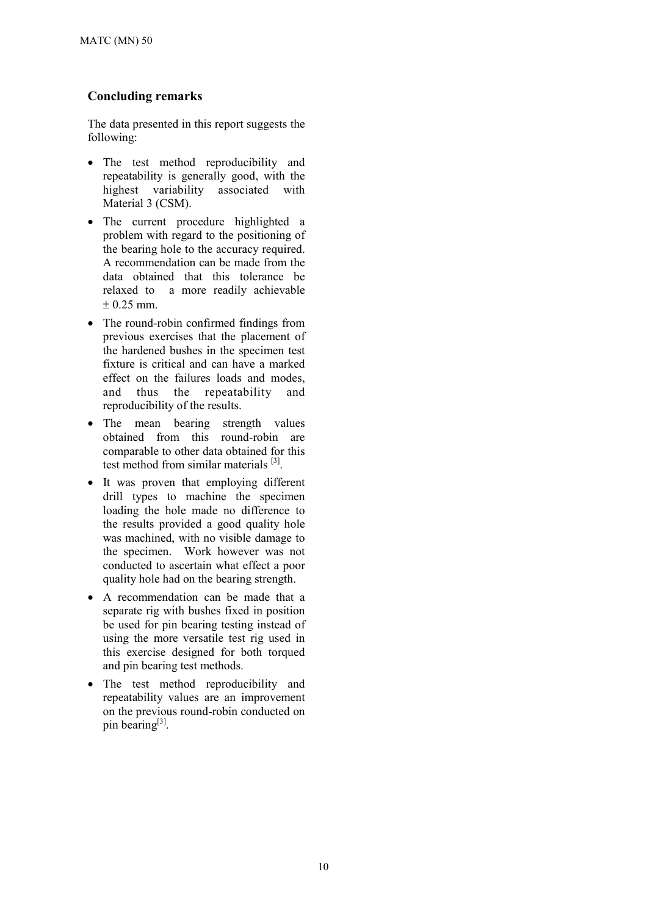# **Concluding remarks**

The data presented in this report suggests the following:

- The test method reproducibility and repeatability is generally good, with the highest variability associated with Material 3 (CSM).
- The current procedure highlighted a problem with regard to the positioning of the bearing hole to the accuracy required. A recommendation can be made from the data obtained that this tolerance be relaxed to a more readily achievable  $± 0.25$  mm.
- The round-robin confirmed findings from previous exercises that the placement of the hardened bushes in the specimen test fixture is critical and can have a marked effect on the failures loads and modes and thus the repeatability and reproducibility of the results.
- The mean bearing strength values obtained from this round-robin are comparable to other data obtained for this test method from similar materials  $^{[3]}$ .
- It was proven that employing different drill types to machine the specimen loading the hole made no difference to the results provided a good quality hole was machined, with no visible damage to the specimen. Work however was not conducted to ascertain what effect a poor quality hole had on the bearing strength.
- A recommendation can be made that a separate rig with bushes fixed in position be used for pin bearing testing instead of using the more versatile test rig used in this exercise designed for both torqued and pin bearing test methods.
- The test method reproducibility and repeatability values are an improvement on the previous round-robin conducted on pin bearing<sup>[3]</sup>.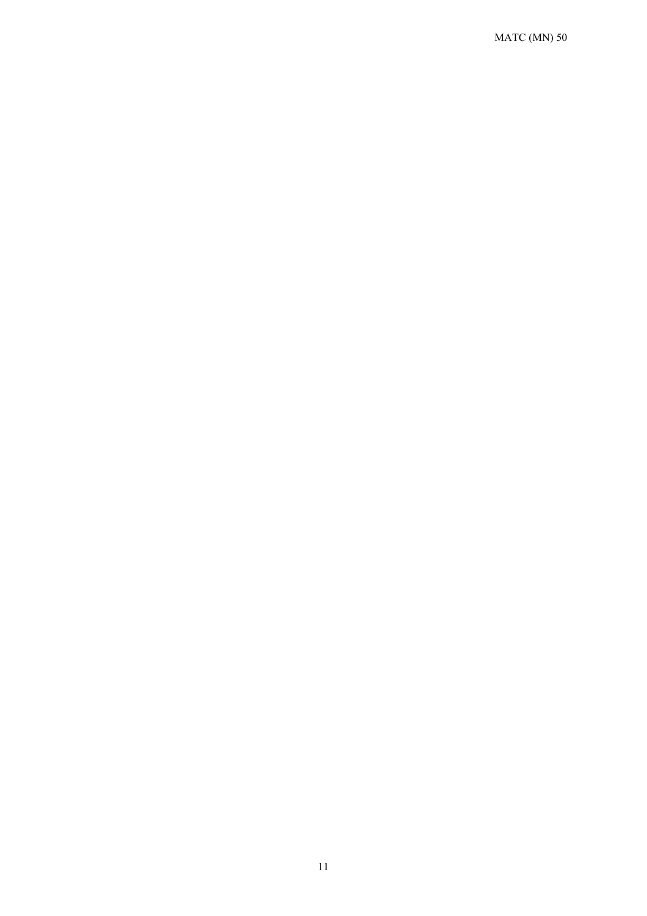MATC (MN) 50